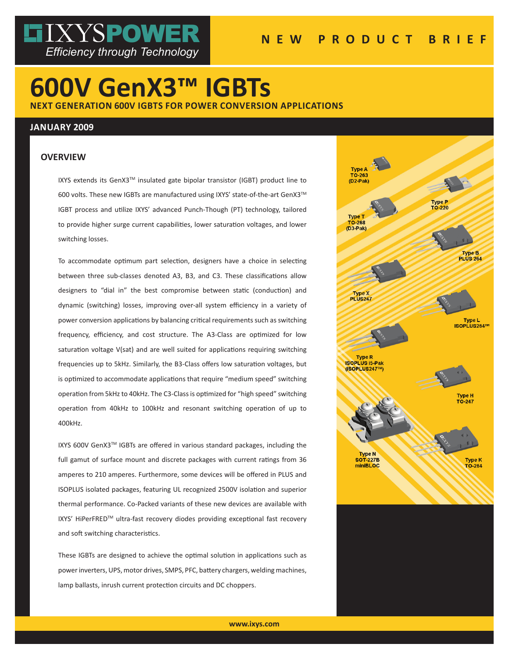# IXYSPOWER *Efficiency through Technology*

### **NEW PRO D UC T B R I EF**

# **600V GenX3™ IGBTs**

**next generation 600V IGBTs for power conversion applications**

### **january 2009**

### **OVERVIEW**

IXYS extends its GenX3TM insulated gate bipolar transistor (IGBT) product line to 600 volts. These new IGBTs are manufactured using IXYS' state-of-the-art GenX3TM IGBT process and utilize IXYS' advanced Punch-Though (PT) technology, tailored to provide higher surge current capabilities, lower saturation voltages, and lower switching losses.

To accommodate optimum part selection, designers have a choice in selecting between three sub-classes denoted A3, B3, and C3. These classifications allow designers to "dial in" the best compromise between static (conduction) and dynamic (switching) losses, improving over-all system efficiency in a variety of power conversion applications by balancing critical requirements such as switching frequency, efficiency, and cost structure. The A3-Class are optimized for low saturation voltage V(sat) and are well suited for applications requiring switching frequencies up to 5kHz. Similarly, the B3-Class offers low saturation voltages, but is optimized to accommodate applications that require "medium speed" switching operation from 5kHz to 40kHz. The C3-Class is optimized for "high speed" switching operation from 40kHz to 100kHz and resonant switching operation of up to 400kHz.

IXYS 600V GenX3TM IGBTs are offered in various standard packages, including the full gamut of surface mount and discrete packages with current ratings from 36 amperes to 210 amperes. Furthermore, some devices will be offered in PLUS and ISOPLUS isolated packages, featuring UL recognized 2500V isolation and superior thermal performance. Co-Packed variants of these new devices are available with IXYS' HiPerFREDTM ultra-fast recovery diodes providing exceptional fast recovery and soft switching characteristics.

These IGBTs are designed to achieve the optimal solution in applications such as power inverters, UPS, motor drives, SMPS, PFC, battery chargers, welding machines, lamp ballasts, inrush current protection circuits and DC choppers.

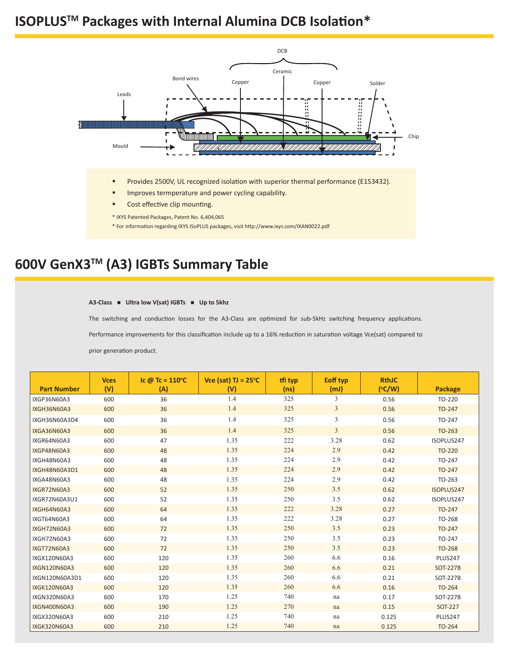# **ISOPLUSTM Packages with Internal Alumina DCB Isolation\***



# **600V GenX3TM (A3) IGBTs Summary Table**

#### **A3-Class** n **Ultra low V(sat) IGBTs** n **Up to 5khz**

The switching and conduction losses for the A3-Class are optimized for sub-5kHz switching frequency applications.

Performance improvements for this classification include up to a 16% reduction in saturation voltage Vce(sat) compared to

prior generation product.

| <b>Part Number</b>  | <b>Vces</b><br>(V) | Ic $\omega$ Tc = 110 °C<br>(A) | Vce (sat) $TJ = 25^{\circ}C$<br>(V) | tfi typ<br>(ns) | Eoff typ<br>(mJ) | <b>RthJC</b><br>$(^{\circ}C/W)$ | <b>Package</b>  |
|---------------------|--------------------|--------------------------------|-------------------------------------|-----------------|------------------|---------------------------------|-----------------|
| IXGP36N60A3         | 600                | 36                             | 1.4                                 | 325             | 3                | 0.56                            | TO-220          |
| IXGH36N60A3         | 600                | 36                             | 1.4                                 | 325             | $\overline{3}$   | 0.56                            | TO-247          |
| IXGH36N60A3D4       | 600                | 36                             | 1.4                                 | 325             | 3                | 0.56                            | TO-247          |
| <b>IXGA36N60A3</b>  | 600                | 36                             | 1.4                                 | 325             | $\overline{3}$   | 0.56                            | TO-263          |
| IXGR64N60A3         | 600                | 47                             | 1.35                                | 222             | 3.28             | 0.62                            | ISOPLUS247      |
| <b>IXGP48N60A3</b>  | 600                | 48                             | 1.35                                | 224             | 2.9              | 0.42                            | TO-220          |
| IXGH48N60A3         | 600                | 48                             | 1.35                                | 224             | 2.9              | 0.42                            | TO-247          |
| IXGH48N60A3D1       | 600                | 48                             | 1.35                                | 224             | 2.9              | 0.42                            | TO-247          |
| IXGA48N60A3         | 600                | 48                             | 1.35                                | 224             | 2.9              | 0.42                            | TO-263          |
| <b>IXGR72N60A3</b>  | 600                | 52                             | 1.35                                | 250             | 3.5              | 0.62                            | ISOPLUS247      |
| IXGR72N60A3U1       | 600                | 52                             | 1.35                                | 250             | 3.5              | 0.62                            | ISOPLUS247      |
| IXGH64N60A3         | 600                | 64                             | 1.35                                | 222             | 3.28             | 0.27                            | TO-247          |
| IXGT64N60A3         | 600                | 64                             | 1.35                                | 222             | 3.28             | 0.27                            | TO-268          |
| <b>IXGH72N60A3</b>  | 600                | 72                             | 1.35                                | 250             | 3.5              | 0.23                            | TO-247          |
| IXGH72N60A3         | 600                | 72                             | 1.35                                | 250             | 3.5              | 0.23                            | TO-247          |
| <b>IXGT72N60A3</b>  | 600                | 72                             | 1.35                                | 250             | 3.5              | 0.23                            | TO-268          |
| IXGX120N60A3        | 600                | 120                            | 1.35                                | 260             | 6.6              | 0.16                            | PLUS247         |
| <b>IXGN120N60A3</b> | 600                | 120                            | 1.35                                | 260             | 6.6              | 0.21                            | <b>SOT-227B</b> |
| IXGN120N60A3D1      | 600                | 120                            | 1.35                                | 260             | 6.6              | 0.21                            | <b>SOT-227B</b> |
| <b>IXGK120N60A3</b> | 600                | 120                            | 1.35                                | 260             | 6.6              | 0.16                            | TO-264          |
| IXGN320N60A3        | 600                | 170                            | 1.25                                | 740             | na               | 0.17                            | <b>SOT-227B</b> |
| <b>IXGN400N60A3</b> | 600                | 190                            | 1.25                                | 270             | na               | 0.15                            | <b>SOT-227</b>  |
| IXGX320N60A3        | 600                | 210                            | 1.25                                | 740             | na               | 0.125                           | PLUS247         |
| <b>IXGK320N60A3</b> | 600                | 210                            | 1.25                                | 740             | na               | 0.125                           | TO-264          |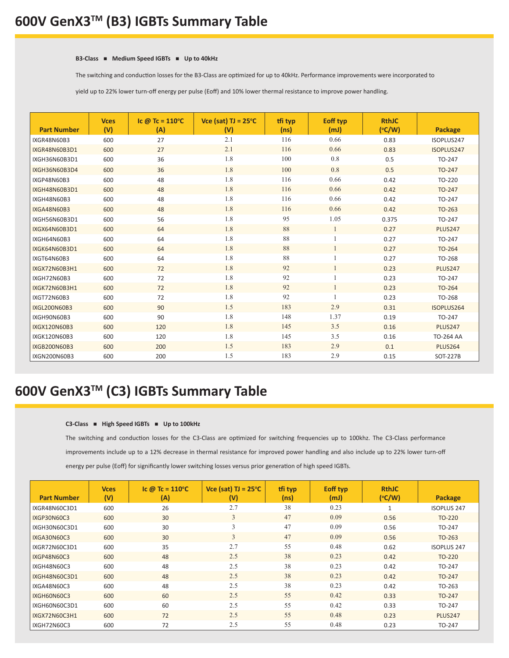#### **B3-Class n Medium Speed IGBTs n** Up to 40kHz

The switching and conduction losses for the B3-Class are optimized for up to 40kHz. Performance improvements were incorporated to

yield up to 22% lower turn-off energy per pulse (Eoff) and 10% lower thermal resistance to improve power handling.

| <b>Part Number</b>  | <b>Vces</b><br>(V) | Ic @ Tc = $110^{\circ}$ C<br>(A) | Vce (sat) $TJ = 25^{\circ}C$<br>(V) | tfi typ<br>(ns) | Eoff typ<br>(mJ) | <b>RthJC</b><br>$(^{\circ}C/W)$ | <b>Package</b>  |
|---------------------|--------------------|----------------------------------|-------------------------------------|-----------------|------------------|---------------------------------|-----------------|
| IXGR48N60B3         | 600                | 27                               | 2.1                                 | 116             | 0.66             | 0.83                            | ISOPLUS247      |
| IXGR48N60B3D1       | 600                | 27                               | 2.1                                 | 116             | 0.66             | 0.83                            | ISOPLUS247      |
| IXGH36N60B3D1       | 600                | 36                               | 1.8                                 | 100             | 0.8              | 0.5                             | TO-247          |
| IXGH36N60B3D4       | 600                | 36                               | 1.8                                 | 100             | 0.8              | 0.5                             | TO-247          |
| IXGP48N60B3         | 600                | 48                               | 1.8                                 | 116             | 0.66             | 0.42                            | TO-220          |
| IXGH48N60B3D1       | 600                | 48                               | 1.8                                 | 116             | 0.66             | 0.42                            | TO-247          |
| IXGH48N60B3         | 600                | 48                               | 1.8                                 | 116             | 0.66             | 0.42                            | TO-247          |
| <b>IXGA48N60B3</b>  | 600                | 48                               | 1.8                                 | 116             | 0.66             | 0.42                            | TO-263          |
| IXGH56N60B3D1       | 600                | 56                               | 1.8                                 | 95              | 1.05             | 0.375                           | TO-247          |
| IXGX64N60B3D1       | 600                | 64                               | 1.8                                 | 88              |                  | 0.27                            | <b>PLUS247</b>  |
| IXGH64N60B3         | 600                | 64                               | 1.8                                 | 88              |                  | 0.27                            | TO-247          |
| IXGK64N60B3D1       | 600                | 64                               | 1.8                                 | 88              |                  | 0.27                            | TO-264          |
| IXGT64N60B3         | 600                | 64                               | 1.8                                 | 88              |                  | 0.27                            | TO-268          |
| IXGX72N60B3H1       | 600                | 72                               | 1.8                                 | 92              |                  | 0.23                            | <b>PLUS247</b>  |
| IXGH72N60B3         | 600                | 72                               | 1.8                                 | 92              |                  | 0.23                            | TO-247          |
| IXGK72N60B3H1       | 600                | 72                               | 1.8                                 | 92              |                  | 0.23                            | TO-264          |
| IXGT72N60B3         | 600                | 72                               | 1.8                                 | 92              |                  | 0.23                            | TO-268          |
| IXGL200N60B3        | 600                | 90                               | 1.5                                 | 183             | 2.9              | 0.31                            | ISOPLUS264      |
| IXGH90N60B3         | 600                | 90                               | 1.8                                 | 148             | 1.37             | 0.19                            | TO-247          |
| IXGX120N60B3        | 600                | 120                              | 1.8                                 | 145             | 3.5              | 0.16                            | <b>PLUS247</b>  |
| IXGK120N60B3        | 600                | 120                              | 1.8                                 | 145             | 3.5              | 0.16                            | TO-264 AA       |
| <b>IXGB200N60B3</b> | 600                | 200                              | 1.5                                 | 183             | 2.9              | 0.1                             | <b>PLUS264</b>  |
| IXGN200N60B3        | 600                | 200                              | 1.5                                 | 183             | 2.9              | 0.15                            | <b>SOT-227B</b> |

# **600V GenX3TM (C3) IGBTs Summary Table**

#### **C3-Class** n **High Speed IGBTs** n **Up to 100kHz**

The switching and conduction losses for the C3-Class are optimized for switching frequencies up to 100khz. The C3-Class performance improvements include up to a 12% decrease in thermal resistance for improved power handling and also include up to 22% lower turn-off energy per pulse (Eoff) for significantly lower switching losses versus prior generation of high speed IGBTs.

|                    | <b>Vces</b> | Ic @ Tc = $110^{\circ}$ C | Vce (sat) $TJ = 25^{\circ}C$ | tfi typ | Eoff typ | <b>RthJC</b> |                    |
|--------------------|-------------|---------------------------|------------------------------|---------|----------|--------------|--------------------|
| <b>Part Number</b> | (V)         | (A)                       | (V)                          | (ns)    | (mJ)     | (C/W)        | <b>Package</b>     |
| IXGR48N60C3D1      | 600         | 26                        | 2.7                          | 38      | 0.23     |              | <b>ISOPLUS 247</b> |
| IXGP30N60C3        | 600         | 30                        | $\overline{3}$               | 47      | 0.09     | 0.56         | TO-220             |
| IXGH30N60C3D1      | 600         | 30                        | 3                            | 47      | 0.09     | 0.56         | TO-247             |
| IXGA30N60C3        | 600         | 30                        | $\overline{3}$               | 47      | 0.09     | 0.56         | TO-263             |
| IXGR72N60C3D1      | 600         | 35                        | 2.7                          | 55      | 0.48     | 0.62         | <b>ISOPLUS 247</b> |
| <b>IXGP48N60C3</b> | 600         | 48                        | 2.5                          | 38      | 0.23     | 0.42         | TO-220             |
| IXGH48N60C3        | 600         | 48                        | 2.5                          | 38      | 0.23     | 0.42         | TO-247             |
| IXGH48N60C3D1      | 600         | 48                        | 2.5                          | 38      | 0.23     | 0.42         | TO-247             |
| IXGA48N60C3        | 600         | 48                        | 2.5                          | 38      | 0.23     | 0.42         | TO-263             |
| IXGH60N60C3        | 600         | 60                        | 2.5                          | 55      | 0.42     | 0.33         | TO-247             |
| IXGH60N60C3D1      | 600         | 60                        | 2.5                          | 55      | 0.42     | 0.33         | TO-247             |
| IXGX72N60C3H1      | 600         | 72                        | 2.5                          | 55      | 0.48     | 0.23         | <b>PLUS247</b>     |
| <b>IXGH72N60C3</b> | 600         | 72                        | 2.5                          | 55      | 0.48     | 0.23         | TO-247             |